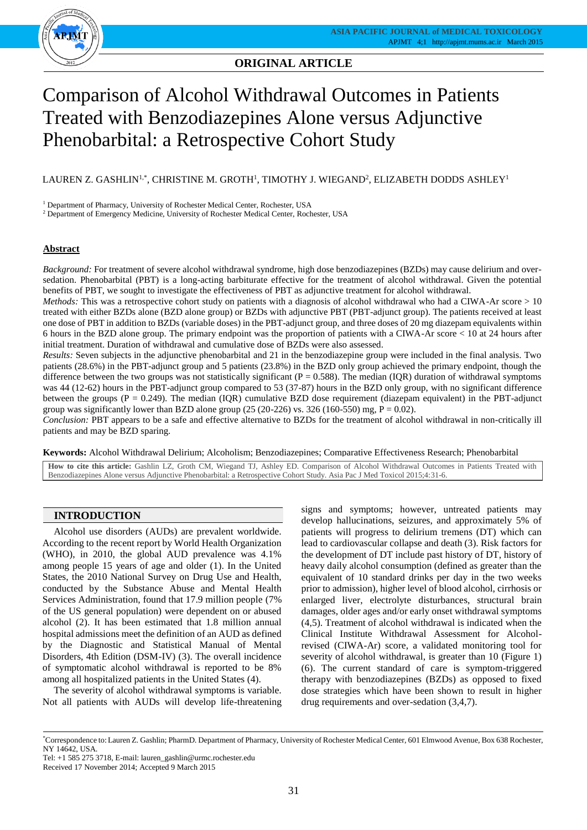

## **ORIGINAL ARTICLE**

# Comparison of Alcohol Withdrawal Outcomes in Patients Treated with Benzodiazepines Alone versus Adjunctive Phenobarbital: a Retrospective Cohort Study

LAUREN Z. GASHLIN $^{1,*}$ , CHRISTINE M. GROTH $^1$ , TIMOTHY J. WIEGAND $^2$ , ELIZABETH DODDS ASHLEY $^1$ 

<sup>1</sup> Department of Pharmacy, University of Rochester Medical Center, Rochester, USA

<sup>2</sup> Department of Emergency Medicine, University of Rochester Medical Center, Rochester, USA

## **Abstract**

*Background:* For treatment of severe alcohol withdrawal syndrome, high dose benzodiazepines (BZDs) may cause delirium and oversedation. Phenobarbital (PBT) is a long-acting barbiturate effective for the treatment of alcohol withdrawal. Given the potential benefits of PBT, we sought to investigate the effectiveness of PBT as adjunctive treatment for alcohol withdrawal.

*Methods:* This was a retrospective cohort study on patients with a diagnosis of alcohol withdrawal who had a CIWA-Ar score > 10 treated with either BZDs alone (BZD alone group) or BZDs with adjunctive PBT (PBT-adjunct group). The patients received at least one dose of PBT in addition to BZDs (variable doses) in the PBT-adjunct group, and three doses of 20 mg diazepam equivalents within 6 hours in the BZD alone group. The primary endpoint was the proportion of patients with a CIWA-Ar score < 10 at 24 hours after initial treatment. Duration of withdrawal and cumulative dose of BZDs were also assessed.

*Results:* Seven subjects in the adjunctive phenobarbital and 21 in the benzodiazepine group were included in the final analysis. Two patients (28.6%) in the PBT-adjunct group and 5 patients (23.8%) in the BZD only group achieved the primary endpoint, though the difference between the two groups was not statistically significant ( $P = 0.588$ ). The median (IQR) duration of withdrawal symptoms was 44 (12-62) hours in the PBT-adjunct group compared to 53 (37-87) hours in the BZD only group, with no significant difference between the groups  $(P = 0.249)$ . The median  $(IQR)$  cumulative BZD dose requirement (diazepam equivalent) in the PBT-adjunct group was significantly lower than BZD alone group  $(25 (20-226) \text{ vs. } 326 (160-550) \text{ mg}, P = 0.02)$ .

*Conclusion:* PBT appears to be a safe and effective alternative to BZDs for the treatment of alcohol withdrawal in non-critically ill patients and may be BZD sparing.

**Keywords:** Alcohol Withdrawal Delirium; Alcoholism; Benzodiazepines; Comparative Effectiveness Research; Phenobarbital

**How to cite this article:** Gashlin LZ, Groth CM, Wiegand TJ, Ashley ED. Comparison of Alcohol Withdrawal Outcomes in Patients Treated with Benzodiazepines Alone versus Adjunctive Phenobarbital: a Retrospective Cohort Study. Asia Pac J Med Toxicol 2015;4:31-6.

## **INTRODUCTION**

Alcohol use disorders (AUDs) are prevalent worldwide. According to the recent report by World Health Organization (WHO), in 2010, the global AUD prevalence was 4.1% among people 15 years of age and older (1). In the United States, the 2010 National Survey on Drug Use and Health, conducted by the Substance Abuse and Mental Health Services Administration, found that 17.9 million people (7% of the US general population) were dependent on or abused alcohol (2). It has been estimated that 1.8 million annual hospital admissions meet the definition of an AUD as defined by the Diagnostic and Statistical Manual of Mental Disorders, 4th Edition (DSM-IV) (3). The overall incidence of symptomatic alcohol withdrawal is reported to be 8% among all hospitalized patients in the United States (4).

The severity of alcohol withdrawal symptoms is variable. Not all patients with AUDs will develop life-threatening signs and symptoms; however, untreated patients may develop hallucinations, seizures, and approximately 5% of patients will progress to delirium tremens (DT) which can lead to cardiovascular collapse and death (3). Risk factors for the development of DT include past history of DT, history of heavy daily alcohol consumption (defined as greater than the equivalent of 10 standard drinks per day in the two weeks prior to admission), higher level of blood alcohol, cirrhosis or enlarged liver, electrolyte disturbances, structural brain damages, older ages and/or early onset withdrawal symptoms (4,5). Treatment of alcohol withdrawal is indicated when the Clinical Institute Withdrawal Assessment for Alcoholrevised (CIWA-Ar) score, a validated monitoring tool for severity of alcohol withdrawal, is greater than 10 (Figure 1) (6). The current standard of care is symptom-triggered therapy with benzodiazepines (BZDs) as opposed to fixed dose strategies which have been shown to result in higher drug requirements and over-sedation (3,4,7).

Tel: +1 585 275 3718, E-mail: lauren\_gashlin@urmc.rochester.edu

Received 17 November 2014; Accepted 9 March 2015

<sup>\*</sup>Correspondence to: Lauren Z. Gashlin; PharmD. Department of Pharmacy, University of Rochester Medical Center, 601 Elmwood Avenue, Box 638 Rochester, NY 14642, USA.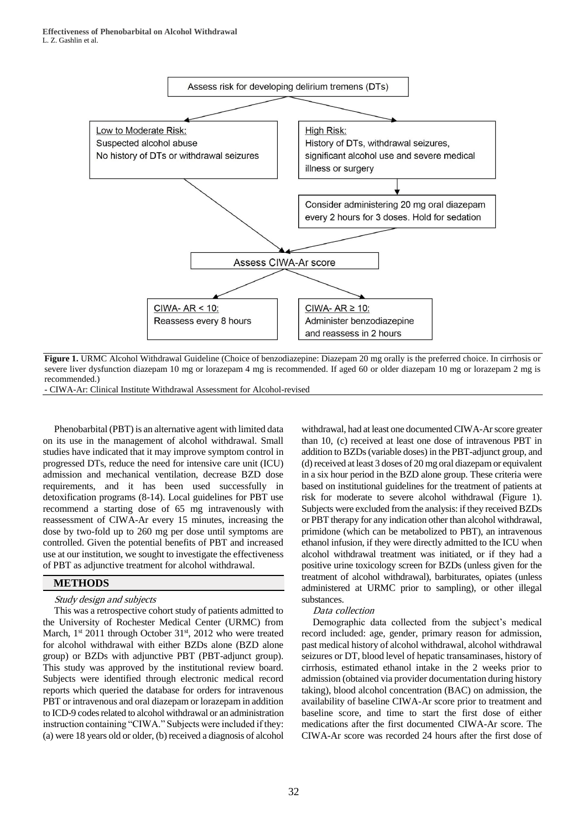

**Figure 1.** URMC Alcohol Withdrawal Guideline (Choice of benzodiazepine: Diazepam 20 mg orally is the preferred choice. In cirrhosis or severe liver dysfunction diazepam 10 mg or lorazepam 4 mg is recommended. If aged 60 or older diazepam 10 mg or lorazepam 2 mg is recommended.)

- CIWA-Ar: Clinical Institute Withdrawal Assessment for Alcohol-revised

Phenobarbital (PBT) is an alternative agent with limited data on its use in the management of alcohol withdrawal. Small studies have indicated that it may improve symptom control in progressed DTs, reduce the need for intensive care unit (ICU) admission and mechanical ventilation, decrease BZD dose requirements, and it has been used successfully in detoxification programs (8-14). Local guidelines for PBT use recommend a starting dose of 65 mg intravenously with reassessment of CIWA-Ar every 15 minutes, increasing the dose by two-fold up to 260 mg per dose until symptoms are controlled. Given the potential benefits of PBT and increased use at our institution, we sought to investigate the effectiveness of PBT as adjunctive treatment for alcohol withdrawal.

#### **METHODS**

#### Study design and subjects

This was a retrospective cohort study of patients admitted to the University of Rochester Medical Center (URMC) from March,  $1<sup>st</sup>$  2011 through October 31 $<sup>st</sup>$ , 2012 who were treated</sup> for alcohol withdrawal with either BZDs alone (BZD alone group) or BZDs with adjunctive PBT (PBT-adjunct group). This study was approved by the institutional review board. Subjects were identified through electronic medical record reports which queried the database for orders for intravenous PBT or intravenous and oral diazepam or lorazepam in addition to ICD-9 codes related to alcohol withdrawal or an administration instruction containing "CIWA." Subjects were included if they: (a) were 18 years old or older, (b) received a diagnosis of alcohol

withdrawal, had at least one documented CIWA-Ar score greater than 10, (c) received at least one dose of intravenous PBT in addition to BZDs (variable doses) in the PBT-adjunct group, and (d) received at least 3 doses of 20 mg oral diazepam or equivalent in a six hour period in the BZD alone group. These criteria were based on institutional guidelines for the treatment of patients at risk for moderate to severe alcohol withdrawal (Figure 1). Subjects were excluded from the analysis: if they received BZDs or PBT therapy for any indication other than alcohol withdrawal, primidone (which can be metabolized to PBT), an intravenous ethanol infusion, if they were directly admitted to the ICU when alcohol withdrawal treatment was initiated, or if they had a positive urine toxicology screen for BZDs (unless given for the treatment of alcohol withdrawal), barbiturates, opiates (unless administered at URMC prior to sampling), or other illegal substances.

#### Data collection

Demographic data collected from the subject's medical record included: age, gender, primary reason for admission, past medical history of alcohol withdrawal, alcohol withdrawal seizures or DT, blood level of hepatic transaminases, history of cirrhosis, estimated ethanol intake in the 2 weeks prior to admission (obtained via provider documentation during history taking), blood alcohol concentration (BAC) on admission, the availability of baseline CIWA-Ar score prior to treatment and baseline score, and time to start the first dose of either medications after the first documented CIWA-Ar score. The CIWA-Ar score was recorded 24 hours after the first dose of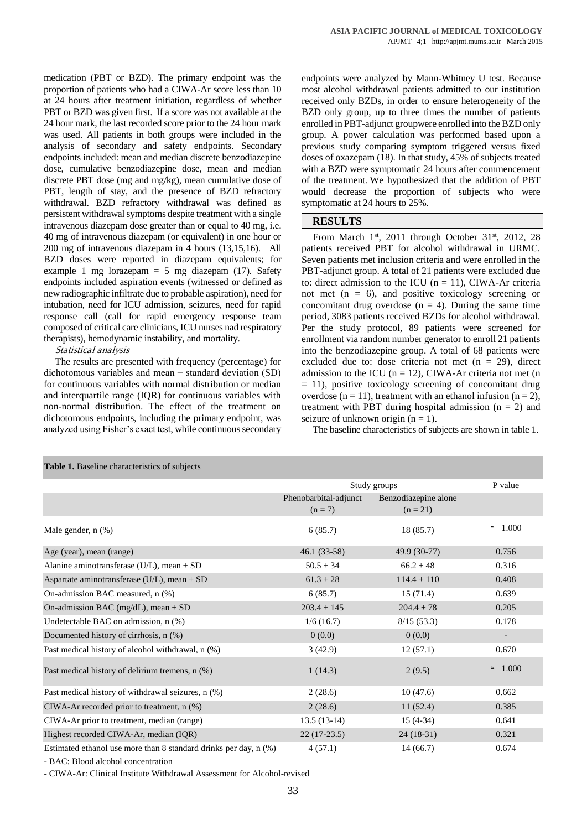medication (PBT or BZD). The primary endpoint was the proportion of patients who had a CIWA-Ar score less than 10 at 24 hours after treatment initiation, regardless of whether PBT or BZD was given first. If a score was not available at the 24 hour mark, the last recorded score prior to the 24 hour mark was used. All patients in both groups were included in the analysis of secondary and safety endpoints. Secondary endpoints included: mean and median discrete benzodiazepine dose, cumulative benzodiazepine dose, mean and median discrete PBT dose (mg and mg/kg), mean cumulative dose of PBT, length of stay, and the presence of BZD refractory withdrawal. BZD refractory withdrawal was defined as persistent withdrawal symptoms despite treatment with a single intravenous diazepam dose greater than or equal to 40 mg, i.e. 40 mg of intravenous diazepam (or equivalent) in one hour or 200 mg of intravenous diazepam in 4 hours (13,15,16). All BZD doses were reported in diazepam equivalents; for example 1 mg lorazepam  $= 5$  mg diazepam (17). Safety endpoints included aspiration events (witnessed or defined as new radiographic infiltrate due to probable aspiration), need for intubation, need for ICU admission, seizures, need for rapid response call (call for rapid emergency response team composed of critical care clinicians, ICU nurses nad respiratory therapists), hemodynamic instability, and mortality.

## Statistical analysis

The results are presented with frequency (percentage) for dichotomous variables and mean  $\pm$  standard deviation (SD) for continuous variables with normal distribution or median and interquartile range (IOR) for continuous variables with non-normal distribution. The effect of the treatment on dichotomous endpoints, including the primary endpoint, was analyzed using Fisher's exact test, while continuous secondary endpoints were analyzed by Mann-Whitney U test. Because most alcohol withdrawal patients admitted to our institution received only BZDs, in order to ensure heterogeneity of the BZD only group, up to three times the number of patients enrolled in PBT-adjunct groupwere enrolled into the BZD only group. A power calculation was performed based upon a previous study comparing symptom triggered versus fixed doses of oxazepam (18). In that study, 45% of subjects treated with a BZD were symptomatic 24 hours after commencement of the treatment. We hypothesized that the addition of PBT would decrease the proportion of subjects who were symptomatic at 24 hours to 25%.

### **RESULTS**

From March  $1<sup>st</sup>$ , 2011 through October 31 $<sup>st</sup>$ , 2012, 28</sup> patients received PBT for alcohol withdrawal in URMC. Seven patients met inclusion criteria and were enrolled in the PBT-adjunct group. A total of 21 patients were excluded due to: direct admission to the ICU  $(n = 11)$ , CIWA-Ar criteria not met  $(n = 6)$ , and positive toxicology screening or concomitant drug overdose  $(n = 4)$ . During the same time period, 3083 patients received BZDs for alcohol withdrawal. Per the study protocol, 89 patients were screened for enrollment via random number generator to enroll 21 patients into the benzodiazepine group. A total of 68 patients were excluded due to: dose criteria not met  $(n = 29)$ , direct admission to the ICU ( $n = 12$ ), CIWA-Ar criteria not met (n  $= 11$ ), positive toxicology screening of concomitant drug overdose (n = 11), treatment with an ethanol infusion (n = 2), treatment with PBT during hospital admission  $(n = 2)$  and seizure of unknown origin  $(n = 1)$ .

The baseline characteristics of subjects are shown in table 1.

| Table 1. Baseline characteristics of subjects                    |                                    |                                    |                   |  |  |
|------------------------------------------------------------------|------------------------------------|------------------------------------|-------------------|--|--|
|                                                                  | Study groups                       |                                    | P value           |  |  |
|                                                                  | Phenobarbital-adjunct<br>$(n = 7)$ | Benzodiazepine alone<br>$(n = 21)$ |                   |  |  |
| Male gender, $n$ $(\%)$                                          | 6(85.7)                            | 18(85.7)                           | 1.000<br>$\simeq$ |  |  |
| Age (year), mean (range)                                         | $46.1(33-58)$                      | 49.9 (30-77)                       | 0.756             |  |  |
| Alanine aminotransferase (U/L), mean $\pm$ SD                    | $50.5 \pm 34$                      | $66.2 \pm 48$                      | 0.316             |  |  |
| Aspartate aminotransferase (U/L), mean $\pm$ SD                  | $61.3 \pm 28$                      | $114.4 \pm 110$                    | 0.408             |  |  |
| On-admission BAC measured, n (%)                                 | 6(85.7)                            | 15(71.4)                           | 0.639             |  |  |
| On-admission BAC (mg/dL), mean $\pm$ SD                          | $203.4 \pm 145$                    | $204.4 \pm 78$                     | 0.205             |  |  |
| Undetectable BAC on admission, n (%)                             | 1/6(16.7)                          | 8/15(53.3)                         | 0.178             |  |  |
| Documented history of cirrhosis, n (%)                           | 0(0.0)                             | 0(0.0)                             |                   |  |  |
| Past medical history of alcohol withdrawal, n (%)                | 3(42.9)                            | 12(57.1)                           | 0.670             |  |  |
| Past medical history of delirium tremens, n (%)                  | 1(14.3)                            | 2(9.5)                             | $= 1.000$         |  |  |
| Past medical history of withdrawal seizures, n (%)               | 2(28.6)                            | 10(47.6)                           | 0.662             |  |  |
| CIWA-Ar recorded prior to treatment, n (%)                       | 2(28.6)                            | 11(52.4)                           | 0.385             |  |  |
| CIWA-Ar prior to treatment, median (range)                       | $13.5(13-14)$                      | $15(4-34)$                         | 0.641             |  |  |
| Highest recorded CIWA-Ar, median (IQR)                           | $22(17-23.5)$                      | $24(18-31)$                        | 0.321             |  |  |
| Estimated ethanol use more than 8 standard drinks per day, n (%) | 4(57.1)                            | 14(66.7)                           | 0.674             |  |  |

- BAC: Blood alcohol concentration

- CIWA-Ar: Clinical Institute Withdrawal Assessment for Alcohol-revised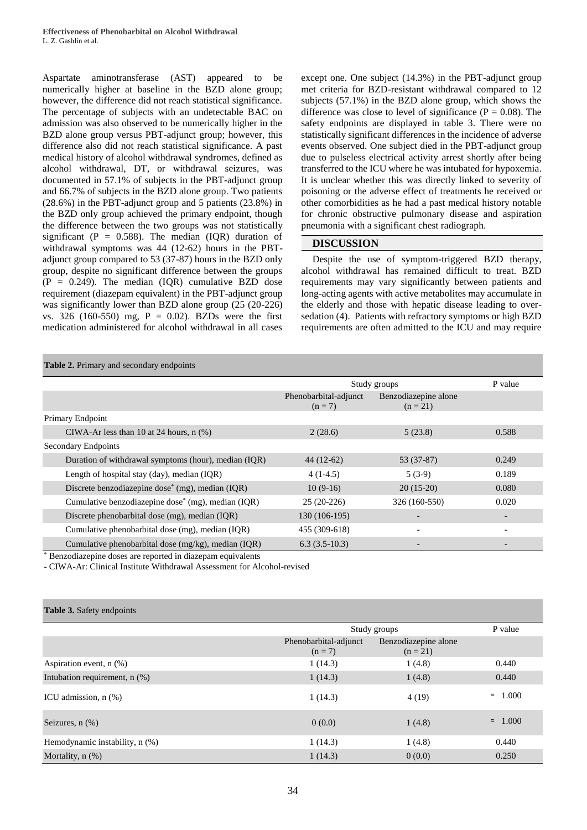Aspartate aminotransferase (AST) appeared to be numerically higher at baseline in the BZD alone group; however, the difference did not reach statistical significance. The percentage of subjects with an undetectable BAC on admission was also observed to be numerically higher in the BZD alone group versus PBT-adjunct group; however, this difference also did not reach statistical significance. A past medical history of alcohol withdrawal syndromes, defined as alcohol withdrawal, DT, or withdrawal seizures, was documented in 57.1% of subjects in the PBT-adjunct group and 66.7% of subjects in the BZD alone group. Two patients (28.6%) in the PBT-adjunct group and 5 patients (23.8%) in the BZD only group achieved the primary endpoint, though the difference between the two groups was not statistically significant ( $P = 0.588$ ). The median (IQR) duration of withdrawal symptoms was 44 (12-62) hours in the PBTadjunct group compared to 53 (37-87) hours in the BZD only group, despite no significant difference between the groups  $(P = 0.249)$ . The median (IQR) cumulative BZD dose requirement (diazepam equivalent) in the PBT-adjunct group was significantly lower than BZD alone group (25 (20-226) vs. 326 (160-550) mg, P = 0.02). BZDs were the first medication administered for alcohol withdrawal in all cases

except one. One subject (14.3%) in the PBT-adjunct group met criteria for BZD-resistant withdrawal compared to 12 subjects (57.1%) in the BZD alone group, which shows the difference was close to level of significance ( $P = 0.08$ ). The safety endpoints are displayed in table 3. There were no statistically significant differences in the incidence of adverse events observed. One subject died in the PBT-adjunct group due to pulseless electrical activity arrest shortly after being transferred to the ICU where he was intubated for hypoxemia. It is unclear whether this was directly linked to severity of poisoning or the adverse effect of treatments he received or other comorbidities as he had a past medical history notable for chronic obstructive pulmonary disease and aspiration pneumonia with a significant chest radiograph.

## **DISCUSSION**

Despite the use of symptom-triggered BZD therapy, alcohol withdrawal has remained difficult to treat. BZD requirements may vary significantly between patients and long-acting agents with active metabolites may accumulate in the elderly and those with hepatic disease leading to oversedation (4). Patients with refractory symptoms or high BZD requirements are often admitted to the ICU and may require

#### **Table 2.** Primary and secondary endpoints

|                                                                | Study groups                       |                                    | P value |
|----------------------------------------------------------------|------------------------------------|------------------------------------|---------|
|                                                                | Phenobarbital-adjunct<br>$(n = 7)$ | Benzodiazepine alone<br>$(n = 21)$ |         |
| Primary Endpoint                                               |                                    |                                    |         |
| CIWA-Ar less than 10 at 24 hours, $n$ $%$ )                    | 2(28.6)                            | 5(23.8)                            | 0.588   |
| Secondary Endpoints                                            |                                    |                                    |         |
| Duration of withdrawal symptoms (hour), median (IQR)           | $44(12-62)$                        | 53 (37-87)                         | 0.249   |
| Length of hospital stay (day), median (IQR)                    | $4(1-4.5)$                         | $5(3-9)$                           | 0.189   |
| Discrete benzodiazepine dose <sup>*</sup> (mg), median (IQR)   | $10(9-16)$                         | $20(15-20)$                        | 0.080   |
| Cumulative benzodiazepine dose <sup>*</sup> (mg), median (IQR) | $25(20-226)$                       | 326 (160-550)                      | 0.020   |
| Discrete phenobarbital dose (mg), median (IQR)                 | 130 (106-195)                      |                                    |         |
| Cumulative phenobarbital dose (mg), median (IQR)               | 455 (309-618)                      |                                    |         |
| Cumulative phenobarbital dose (mg/kg), median (IQR)            | $6.3(3.5-10.3)$                    |                                    |         |

Benzodiazepine doses are reported in diazepam equivalents

- CIWA-Ar: Clinical Institute Withdrawal Assessment for Alcohol-revised

| <b>Table 3.</b> Safety endpoints   |                                    |                                    |                   |
|------------------------------------|------------------------------------|------------------------------------|-------------------|
|                                    | Study groups                       |                                    | P value           |
|                                    | Phenobarbital-adjunct<br>$(n = 7)$ | Benzodiazepine alone<br>$(n = 21)$ |                   |
| Aspiration event, $n$ $(\%)$       | 1(14.3)                            | 1(4.8)                             | 0.440             |
| Intubation requirement, $n$ $(\%)$ | 1(14.3)                            | 1(4.8)                             | 0.440             |
| ICU admission, $n$ $(\%)$          | 1(14.3)                            | 4(19)                              | 1.000<br>$\simeq$ |
| Seizures, $n$ $(\%)$               | 0(0.0)                             | 1(4.8)                             | 1.000<br>$\simeq$ |
| Hemodynamic instability, n (%)     | 1(14.3)                            | 1(4.8)                             | 0.440             |
| Mortality, $n$ $(\%)$              | 1(14.3)                            | 0(0.0)                             | 0.250             |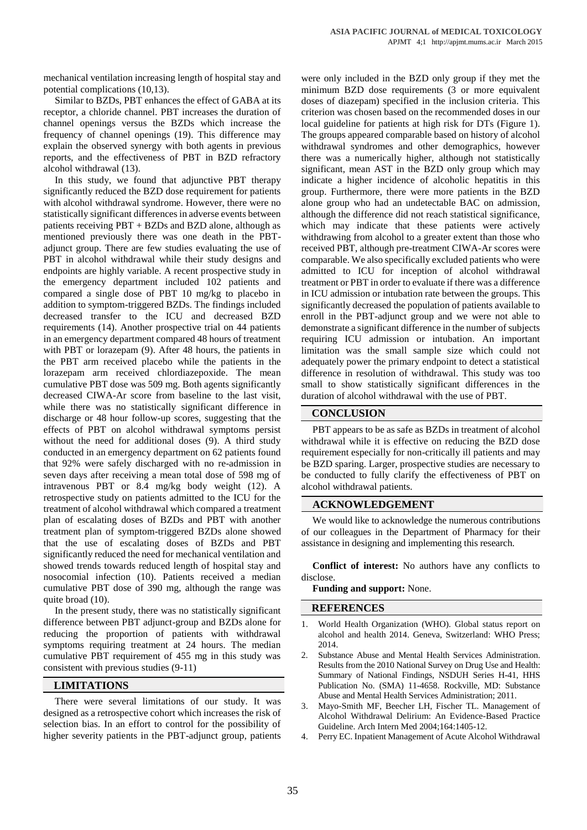mechanical ventilation increasing length of hospital stay and potential complications (10,13).

Similar to BZDs, PBT enhances the effect of GABA at its receptor, a chloride channel. PBT increases the duration of channel openings versus the BZDs which increase the frequency of channel openings (19). This difference may explain the observed synergy with both agents in previous reports, and the effectiveness of PBT in BZD refractory alcohol withdrawal (13).

In this study, we found that adjunctive PBT therapy significantly reduced the BZD dose requirement for patients with alcohol withdrawal syndrome. However, there were no statistically significant differences in adverse events between patients receiving PBT + BZDs and BZD alone, although as mentioned previously there was one death in the PBTadjunct group. There are few studies evaluating the use of PBT in alcohol withdrawal while their study designs and endpoints are highly variable. A recent prospective study in the emergency department included 102 patients and compared a single dose of PBT 10 mg/kg to placebo in addition to symptom-triggered BZDs. The findings included decreased transfer to the ICU and decreased BZD requirements (14). Another prospective trial on 44 patients in an emergency department compared 48 hours of treatment with PBT or lorazepam (9). After 48 hours, the patients in the PBT arm received placebo while the patients in the lorazepam arm received chlordiazepoxide. The mean cumulative PBT dose was 509 mg. Both agents significantly decreased CIWA-Ar score from baseline to the last visit, while there was no statistically significant difference in discharge or 48 hour follow-up scores, suggesting that the effects of PBT on alcohol withdrawal symptoms persist without the need for additional doses (9). A third study conducted in an emergency department on 62 patients found that 92% were safely discharged with no re-admission in seven days after receiving a mean total dose of 598 mg of intravenous PBT or 8.4 mg/kg body weight (12). A retrospective study on patients admitted to the ICU for the treatment of alcohol withdrawal which compared a treatment plan of escalating doses of BZDs and PBT with another treatment plan of symptom-triggered BZDs alone showed that the use of escalating doses of BZDs and PBT significantly reduced the need for mechanical ventilation and showed trends towards reduced length of hospital stay and nosocomial infection (10). Patients received a median cumulative PBT dose of 390 mg, although the range was quite broad (10).

In the present study, there was no statistically significant difference between PBT adjunct-group and BZDs alone for reducing the proportion of patients with withdrawal symptoms requiring treatment at 24 hours. The median cumulative PBT requirement of 455 mg in this study was consistent with previous studies (9-11)

#### **LIMITATIONS**

There were several limitations of our study. It was designed as a retrospective cohort which increases the risk of selection bias. In an effort to control for the possibility of higher severity patients in the PBT-adjunct group, patients were only included in the BZD only group if they met the minimum BZD dose requirements (3 or more equivalent doses of diazepam) specified in the inclusion criteria. This criterion was chosen based on the recommended doses in our local guideline for patients at high risk for DTs (Figure 1). The groups appeared comparable based on history of alcohol withdrawal syndromes and other demographics, however there was a numerically higher, although not statistically significant, mean AST in the BZD only group which may indicate a higher incidence of alcoholic hepatitis in this group. Furthermore, there were more patients in the BZD alone group who had an undetectable BAC on admission, although the difference did not reach statistical significance, which may indicate that these patients were actively withdrawing from alcohol to a greater extent than those who received PBT, although pre-treatment CIWA-Ar scores were comparable. We also specifically excluded patients who were admitted to ICU for inception of alcohol withdrawal treatment or PBT in order to evaluate if there was a difference in ICU admission or intubation rate between the groups. This significantly decreased the population of patients available to enroll in the PBT-adjunct group and we were not able to demonstrate a significant difference in the number of subjects requiring ICU admission or intubation. An important limitation was the small sample size which could not adequately power the primary endpoint to detect a statistical difference in resolution of withdrawal. This study was too small to show statistically significant differences in the duration of alcohol withdrawal with the use of PBT.

#### **CONCLUSION**

PBT appears to be as safe as BZDs in treatment of alcohol withdrawal while it is effective on reducing the BZD dose requirement especially for non-critically ill patients and may be BZD sparing. Larger, prospective studies are necessary to be conducted to fully clarify the effectiveness of PBT on alcohol withdrawal patients.

#### **ACKNOWLEDGEMENT**

We would like to acknowledge the numerous contributions of our colleagues in the Department of Pharmacy for their assistance in designing and implementing this research.

**Conflict of interest:** No authors have any conflicts to disclose.

**Funding and support:** None.

#### **REFERENCES**

- World Health Organization (WHO). Global status report on alcohol and health 2014. Geneva, Switzerland: WHO Press; 2014.
- 2. Substance Abuse and Mental Health Services Administration. Results from the 2010 National Survey on Drug Use and Health: Summary of National Findings, NSDUH Series H-41, HHS Publication No. (SMA) 11-4658. Rockville, MD: Substance Abuse and Mental Health Services Administration; 2011.
- 3. Mayo-Smith MF, Beecher LH, Fischer TL. Management of Alcohol Withdrawal Delirium: An Evidence-Based Practice Guideline. Arch Intern Med 2004;164:1405-12.
- 4. Perry EC. Inpatient Management of Acute Alcohol Withdrawal